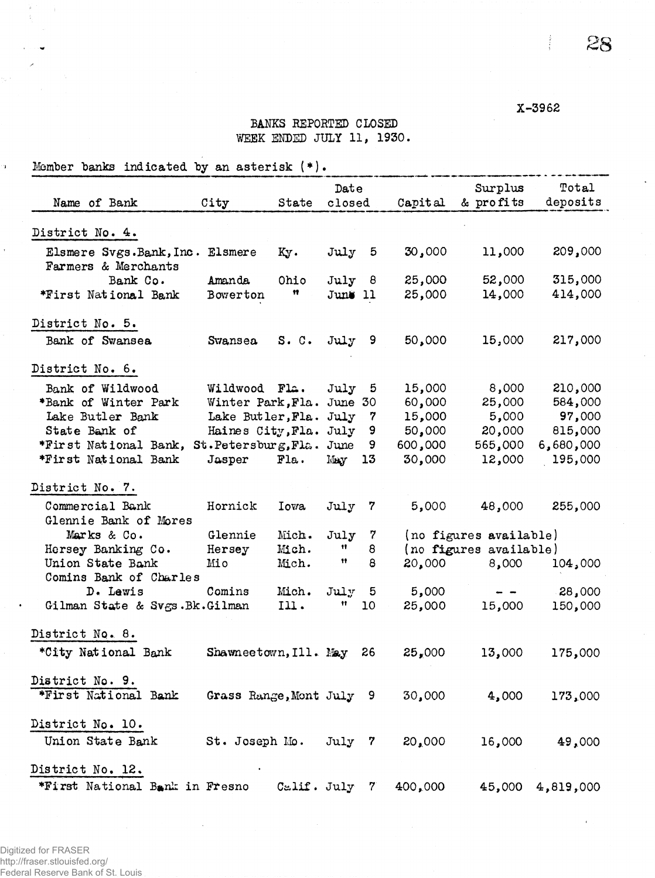X-3962

 $\frac{1}{2}$  .

**28** 

## BANKS REPORTED CLOSED WEEK ENDED JULY 11, 1930.

Member banks indicated by an asterisk  $(*)$ .

 $\bar{\mathbf{r}}$ 

| Name of Bank                                           | City                     | State       |                 | Date | Capital | Surplus<br>& profits   | Total<br>deposits |
|--------------------------------------------------------|--------------------------|-------------|-----------------|------|---------|------------------------|-------------------|
|                                                        |                          |             | closed          |      |         |                        |                   |
| District No. 4.                                        |                          |             |                 |      |         |                        |                   |
| Elsmere Svgs.Bank, Inc. Elsmere<br>Farmers & Merchants |                          | Ky.         | July 5          |      | 30,000  | 11,000                 | 209,000           |
| Bank Co.                                               | Amanda                   | Ohio        | July 8          |      | 25,000  | 52,000                 | 315,000           |
| *First National Bank                                   | Bowerton                 | Ħ           | June 11         |      | 25,000  | 14,000                 | 414,000           |
| District No. 5.                                        |                          |             |                 |      |         |                        |                   |
| Bank of Swansea                                        | Swansea                  | S. C.       | July 9          |      | 50,000  | 15,000                 | 217,000           |
| District No. 6.                                        |                          |             |                 |      |         |                        |                   |
| Bank of Wildwood                                       | Wildwood Fla.            |             | July            | 5    | 15,000  | 8,000                  | 210,000           |
| *Bank of Winter Park                                   | Winter Park, Fla.        |             | June 30         |      | 60,000  | 25,000                 | 584,000           |
| Lake Butler Bank                                       | Lake Butler, Fla.        |             | July            | 7    | 15,000  | 5,000                  | 97,000            |
| State Bank of                                          | Haines City, Fla. July   |             |                 | 9    | 50,000  | 20,000                 | 815,000           |
| *First National Bank,                                  | St.Petersburg, Fla.      |             | June            | 9    | 600,000 | 565,000                | 6,680,000         |
| *First National Bank                                   | Jasper                   | Fla.        | May             | 13   | 30,000  | 12,000                 | 195,000           |
| District No. 7.                                        |                          |             |                 |      |         |                        |                   |
| Commercial Bank                                        | Hornick                  | <b>Iowa</b> | July 7          |      | 5,000   | 48,000                 | 255,000           |
| Glennie Bank of Mores                                  |                          |             |                 |      |         |                        |                   |
| Marks & Co.                                            | Glennie                  | Mich.       | July            | 7    |         | (no figures available) |                   |
| Hersey Banking Co.                                     | Hersey                   | Mich.       | 11.             | 8    |         | (no figures available) |                   |
| Union State Bank                                       | Mio                      | Mich.       | 11              | 8    | 20,000  | 8,000                  | 104,000           |
| Comins Bank of Charles                                 |                          |             |                 |      |         |                        |                   |
| D. Lewis                                               | Comins                   | Mich.       | $\texttt{July}$ | 5    | 5,000   |                        | 28,000            |
| Gilman State & Svgs.Bk.Gilman                          |                          | Ill.        | 11.             | 10   | 25,000  | 15,000                 | 150,000           |
| District No. 8.                                        |                          |             |                 |      |         |                        |                   |
| *City National Bank                                    | Shawneetown, Ill. May    |             |                 | 26   | 25,000  | 13,000                 | 175,000           |
| District No. 9.                                        |                          |             |                 |      |         |                        |                   |
| *First National Bank                                   | Grass Range, Mont July 9 |             |                 |      | 30,000  | 4,000                  | 173,000           |
| District No. 10.                                       |                          |             |                 |      |         |                        |                   |
| Union State Bank St. Joseph Mo. July 7 20,000          |                          |             |                 |      |         | 16,000                 | 49,000            |
| District No. 12.                                       |                          |             |                 |      |         |                        |                   |
| *First National Bank in Fresno Calif. July 7 400,000   |                          |             |                 |      |         |                        | 45,000 4,819,000  |